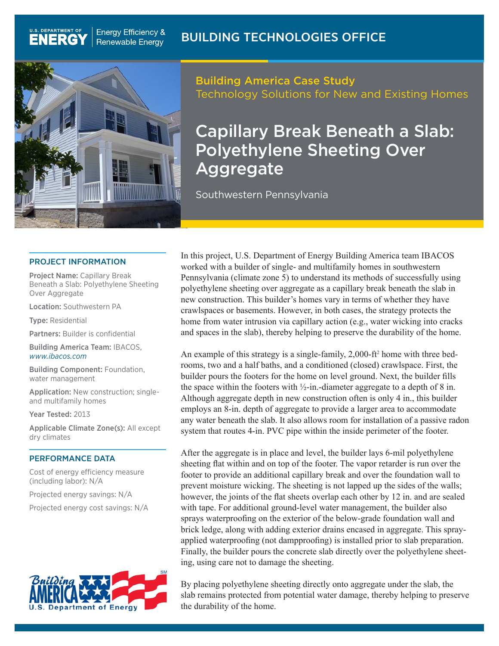

**Energy Efficiency &** 

**Renewable Energy** 

## Building America Case Study Technology Solutions for New and Existing Homes

# Capillary Break Beneath a Slab: Polyethylene Sheeting Over **Aggregate**

Southwestern Pennsylvania

### PROJECT INFORMATION

Project Name: Capillary Break Beneath a Slab: Polyethylene Sheeting Over Aggregate

Location: Southwestern PA

Type: Residential

U.S. DEPARTMENT OF

**ENERGY** 

Partners: Builder is confidential

Building America Team: IBACOS, *[www.ibacos.com](http://www.ibacos.com)*

Building Component: Foundation, water management

Application: New construction; singleand multifamily homes

Year Tested: 2013

Applicable Climate Zone(s): All except dry climates

#### PERFORMANCE DATA

Cost of energy efficiency measure (including labor): N/A

Projected energy savings: N/A

Projected energy cost savings: N/A



In this project, U.S. Department of Energy Building America team IBACOS worked with a builder of single- and multifamily homes in southwestern Pennsylvania (climate zone 5) to understand its methods of successfully using polyethylene sheeting over aggregate as a capillary break beneath the slab in new construction. This builder's homes vary in terms of whether they have crawlspaces or basements. However, in both cases, the strategy protects the home from water intrusion via capillary action (e.g., water wicking into cracks and spaces in the slab), thereby helping to preserve the durability of the home.

An example of this strategy is a single-family, 2,000-ft<sup>2</sup> home with three bedrooms, two and a half baths, and a conditioned (closed) crawlspace. First, the builder pours the footers for the home on level ground. Next, the builder fills the space within the footers with  $\frac{1}{2}$ -in.-diameter aggregate to a depth of 8 in. Although aggregate depth in new construction often is only 4 in., this builder employs an 8-in. depth of aggregate to provide a larger area to accommodate any water beneath the slab. It also allows room for installation of a passive radon system that routes 4-in. PVC pipe within the inside perimeter of the footer.

After the aggregate is in place and level, the builder lays 6-mil polyethylene sheeting flat within and on top of the footer. The vapor retarder is run over the footer to provide an additional capillary break and over the foundation wall to prevent moisture wicking. The sheeting is not lapped up the sides of the walls; however, the joints of the flat sheets overlap each other by 12 in. and are sealed with tape. For additional ground-level water management, the builder also sprays waterproofing on the exterior of the below-grade foundation wall and brick ledge, along with adding exterior drains encased in aggregate. This sprayapplied waterproofing (not dampproofing) is installed prior to slab preparation. Finally, the builder pours the concrete slab directly over the polyethylene sheeting, using care not to damage the sheeting.

By placing polyethylene sheeting directly onto aggregate under the slab, the slab remains protected from potential water damage, thereby helping to preserve the durability of the home.